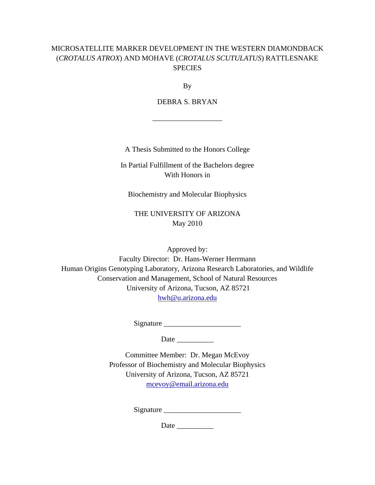# MICROSATELLITE MARKER DEVELOPMENT IN THE WESTERN DIAMONDBACK (*CROTALUS ATROX*) AND MOHAVE (*CROTALUS SCUTULATUS*) RATTLESNAKE **SPECIES**

By

DEBRA S. BRYAN

\_\_\_\_\_\_\_\_\_\_\_\_\_\_\_\_\_\_\_

A Thesis Submitted to the Honors College

In Partial Fulfillment of the Bachelors degree With Honors in

Biochemistry and Molecular Biophysics

THE UNIVERSITY OF ARIZONA May 2010

Approved by: Faculty Director: Dr. Hans-Werner Herrmann Human Origins Genotyping Laboratory, Arizona Research Laboratories, and Wildlife Conservation and Management, School of Natural Resources University of Arizona, Tucson, AZ 85721 hwh@u.arizona.edu

Signature \_\_\_\_\_\_\_\_\_\_\_\_\_\_\_\_\_\_\_\_\_

Date \_\_\_\_\_\_\_\_\_\_

Committee Member: Dr. Megan McEvoy Professor of Biochemistry and Molecular Biophysics University of Arizona, Tucson, AZ 85721 mcevoy@email.arizona.edu

Signature \_\_\_\_\_\_\_\_\_\_\_\_\_\_\_\_\_\_\_\_\_

Date  $\Box$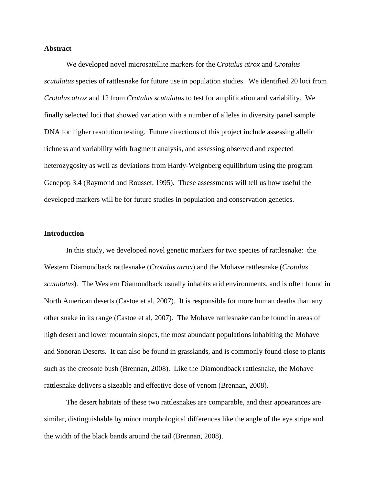### **Abstract**

 We developed novel microsatellite markers for the *Crotalus atrox* and *Crotalus scutulatus* species of rattlesnake for future use in population studies. We identified 20 loci from *Crotalus atrox* and 12 from *Crotalus scutulatus* to test for amplification and variability. We finally selected loci that showed variation with a number of alleles in diversity panel sample DNA for higher resolution testing. Future directions of this project include assessing allelic richness and variability with fragment analysis, and assessing observed and expected heterozygosity as well as deviations from Hardy-Weignberg equilibrium using the program Genepop 3.4 (Raymond and Rousset, 1995). These assessments will tell us how useful the developed markers will be for future studies in population and conservation genetics.

#### **Introduction**

In this study, we developed novel genetic markers for two species of rattlesnake: the Western Diamondback rattlesnake (*Crotalus atrox*) and the Mohave rattlesnake (*Crotalus scutulatus*). The Western Diamondback usually inhabits arid environments, and is often found in North American deserts (Castoe et al, 2007). It is responsible for more human deaths than any other snake in its range (Castoe et al, 2007). The Mohave rattlesnake can be found in areas of high desert and lower mountain slopes, the most abundant populations inhabiting the Mohave and Sonoran Deserts. It can also be found in grasslands, and is commonly found close to plants such as the creosote bush (Brennan, 2008). Like the Diamondback rattlesnake, the Mohave rattlesnake delivers a sizeable and effective dose of venom (Brennan, 2008).

The desert habitats of these two rattlesnakes are comparable, and their appearances are similar, distinguishable by minor morphological differences like the angle of the eye stripe and the width of the black bands around the tail (Brennan, 2008).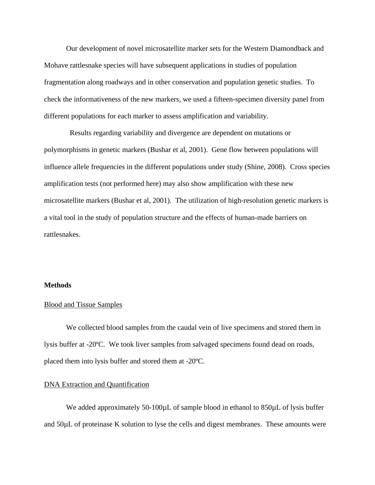Our development of novel microsatellite marker sets for the Western Diamondback and Mohave rattlesnake species will have subsequent applications in studies of population fragmentation along roadways and in other conservation and population genetic studies. To check the informativeness of the new markers, we used a fifteen-specimen diversity panel from different populations for each marker to assess amplification and variability.

 Results regarding variability and divergence are dependent on mutations or polymorphisms in genetic markers (Bushar et al, 2001). Gene flow between populations will influence allele frequencies in the different populations under study (Shine, 2008). Cross species amplification tests (not performed here) may also show amplification with these new microsatellite markers (Bushar et al, 2001). The utilization of high-resolution genetic markers is a vital tool in the study of population structure and the effects of human-made barriers on rattlesnakes.

#### **Methods**

#### Blood and Tissue Samples

 We collected blood samples from the caudal vein of live specimens and stored them in lysis buffer at -20ºC. We took liver samples from salvaged specimens found dead on roads, placed them into lysis buffer and stored them at -20ºC.

#### DNA Extraction and Quantification

We added approximately 50-100µL of sample blood in ethanol to 850µL of lysis buffer and 50µL of proteinase K solution to lyse the cells and digest membranes. These amounts were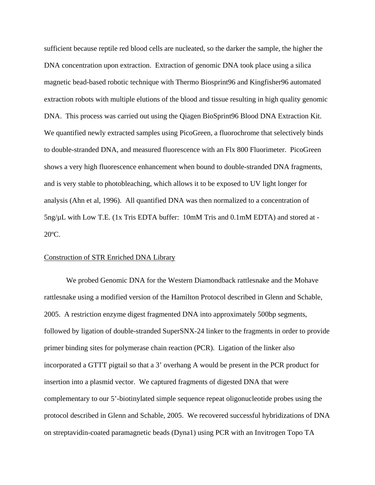sufficient because reptile red blood cells are nucleated, so the darker the sample, the higher the DNA concentration upon extraction. Extraction of genomic DNA took place using a silica magnetic bead-based robotic technique with Thermo Biosprint96 and Kingfisher96 automated extraction robots with multiple elutions of the blood and tissue resulting in high quality genomic DNA. This process was carried out using the Qiagen BioSprint96 Blood DNA Extraction Kit. We quantified newly extracted samples using PicoGreen, a fluorochrome that selectively binds to double-stranded DNA, and measured fluorescence with an Flx 800 Fluorimeter. PicoGreen shows a very high fluorescence enhancement when bound to double-stranded DNA fragments, and is very stable to photobleaching, which allows it to be exposed to UV light longer for analysis (Ahn et al, 1996). All quantified DNA was then normalized to a concentration of 5ng/µL with Low T.E. (1x Tris EDTA buffer: 10mM Tris and 0.1mM EDTA) and stored at - 20ºC.

#### Construction of STR Enriched DNA Library

We probed Genomic DNA for the Western Diamondback rattlesnake and the Mohave rattlesnake using a modified version of the Hamilton Protocol described in Glenn and Schable, 2005. A restriction enzyme digest fragmented DNA into approximately 500bp segments, followed by ligation of double-stranded SuperSNX-24 linker to the fragments in order to provide primer binding sites for polymerase chain reaction (PCR). Ligation of the linker also incorporated a GTTT pigtail so that a 3' overhang A would be present in the PCR product for insertion into a plasmid vector. We captured fragments of digested DNA that were complementary to our 5'-biotinylated simple sequence repeat oligonucleotide probes using the protocol described in Glenn and Schable, 2005. We recovered successful hybridizations of DNA on streptavidin-coated paramagnetic beads (Dyna1) using PCR with an Invitrogen Topo TA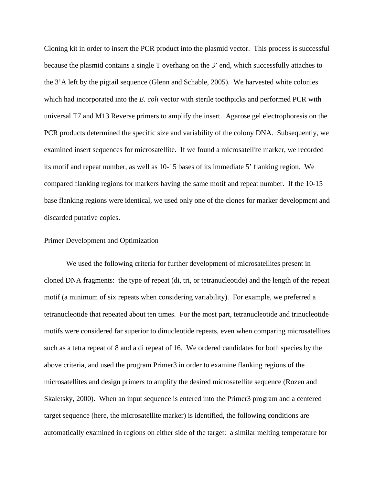Cloning kit in order to insert the PCR product into the plasmid vector. This process is successful because the plasmid contains a single T overhang on the 3' end, which successfully attaches to the 3'A left by the pigtail sequence (Glenn and Schable, 2005). We harvested white colonies which had incorporated into the *E. coli* vector with sterile toothpicks and performed PCR with universal T7 and M13 Reverse primers to amplify the insert. Agarose gel electrophoresis on the PCR products determined the specific size and variability of the colony DNA. Subsequently, we examined insert sequences for microsatellite. If we found a microsatellite marker, we recorded its motif and repeat number, as well as 10-15 bases of its immediate 5' flanking region. We compared flanking regions for markers having the same motif and repeat number. If the 10-15 base flanking regions were identical, we used only one of the clones for marker development and discarded putative copies.

#### Primer Development and Optimization

 We used the following criteria for further development of microsatellites present in cloned DNA fragments: the type of repeat (di, tri, or tetranucleotide) and the length of the repeat motif (a minimum of six repeats when considering variability). For example, we preferred a tetranucleotide that repeated about ten times. For the most part, tetranucleotide and trinucleotide motifs were considered far superior to dinucleotide repeats, even when comparing microsatellites such as a tetra repeat of 8 and a di repeat of 16. We ordered candidates for both species by the above criteria, and used the program Primer3 in order to examine flanking regions of the microsatellites and design primers to amplify the desired microsatellite sequence (Rozen and Skaletsky, 2000). When an input sequence is entered into the Primer3 program and a centered target sequence (here, the microsatellite marker) is identified, the following conditions are automatically examined in regions on either side of the target: a similar melting temperature for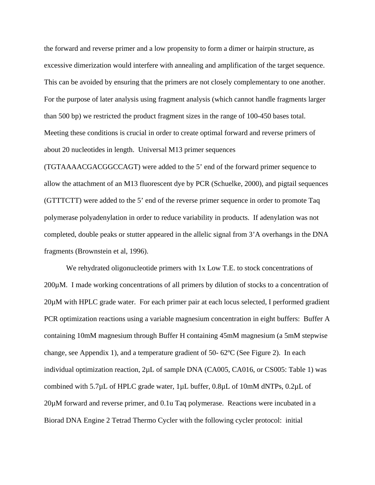the forward and reverse primer and a low propensity to form a dimer or hairpin structure, as excessive dimerization would interfere with annealing and amplification of the target sequence. This can be avoided by ensuring that the primers are not closely complementary to one another. For the purpose of later analysis using fragment analysis (which cannot handle fragments larger than 500 bp) we restricted the product fragment sizes in the range of 100-450 bases total. Meeting these conditions is crucial in order to create optimal forward and reverse primers of about 20 nucleotides in length. Universal M13 primer sequences

(TGTAAAACGACGGCCAGT) were added to the 5' end of the forward primer sequence to allow the attachment of an M13 fluorescent dye by PCR (Schuelke, 2000), and pigtail sequences (GTTTCTT) were added to the 5' end of the reverse primer sequence in order to promote Taq polymerase polyadenylation in order to reduce variability in products. If adenylation was not completed, double peaks or stutter appeared in the allelic signal from 3'A overhangs in the DNA fragments (Brownstein et al, 1996).

 We rehydrated oligonucleotide primers with 1x Low T.E. to stock concentrations of 200µM. I made working concentrations of all primers by dilution of stocks to a concentration of 20µM with HPLC grade water. For each primer pair at each locus selected, I performed gradient PCR optimization reactions using a variable magnesium concentration in eight buffers: Buffer A containing 10mM magnesium through Buffer H containing 45mM magnesium (a 5mM stepwise change, see Appendix 1), and a temperature gradient of 50- 62ºC (See Figure 2). In each individual optimization reaction, 2µL of sample DNA (CA005, CA016, or CS005: Table 1) was combined with  $5.7\mu$ L of HPLC grade water,  $1\mu$ L buffer,  $0.8\mu$ L of 10mM dNTPs,  $0.2\mu$ L of 20µM forward and reverse primer, and 0.1u Taq polymerase. Reactions were incubated in a Biorad DNA Engine 2 Tetrad Thermo Cycler with the following cycler protocol: initial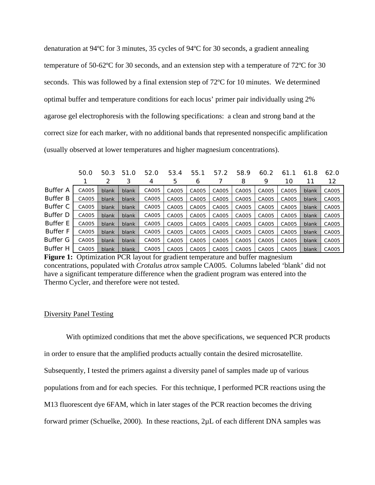denaturation at 94ºC for 3 minutes, 35 cycles of 94ºC for 30 seconds, a gradient annealing temperature of 50-62ºC for 30 seconds, and an extension step with a temperature of 72ºC for 30 seconds. This was followed by a final extension step of 72ºC for 10 minutes. We determined optimal buffer and temperature conditions for each locus' primer pair individually using 2% agarose gel electrophoresis with the following specifications: a clean and strong band at the correct size for each marker, with no additional bands that represented nonspecific amplification (usually observed at lower temperatures and higher magnesium concentrations).

|                 | 50.0  | 50.3  | 51.0  | 52.0  | 53.4  | 55.1  | 57.2  | 58.9  | 60.2  | 61    | 61.8  | 62.0  |
|-----------------|-------|-------|-------|-------|-------|-------|-------|-------|-------|-------|-------|-------|
|                 |       | 2     | 3     | 4     | 5     | 6     |       | 8     | 9     | 10    | 11    | 12    |
| <b>Buffer A</b> | CA005 | blank | blank | CA005 | CA005 | CA005 | CA005 | CA005 | CA005 | CA005 | blank | CA005 |
| <b>Buffer B</b> | CA005 | blank | blank | CA005 | CA005 | CA005 | CA005 | CA005 | CA005 | CA005 | blank | CA005 |
| Buffer C        | CA005 | blank | blank | CA005 | CA005 | CA005 | CA005 | CA005 | CA005 | CA005 | blank | CA005 |
| Buffer D        | CA005 | blank | blank | CA005 | CA005 | CA005 | CA005 | CA005 | CA005 | CA005 | blank | CA005 |
| <b>Buffer E</b> | CA005 | blank | blank | CA005 | CA005 | CA005 | CA005 | CA005 | CA005 | CA005 | blank | CA005 |
| <b>Buffer F</b> | CA005 | blank | blank | CA005 | CA005 | CA005 | CA005 | CA005 | CA005 | CA005 | blank | CA005 |
| Buffer G        | CA005 | blank | blank | CA005 | CA005 | CA005 | CA005 | CA005 | CA005 | CA005 | blank | CA005 |
| <b>Buffer H</b> | CA005 | blank | blank | CA005 | CA005 | CA005 | CA005 | CA005 | CA005 | CA005 | blank | CA005 |

**Figure 1:** Optimization PCR layout for gradient temperature and buffer magnesium concentrations, populated with *Crotalus atrox* sample CA005. Columns labeled 'blank' did not have a significant temperature difference when the gradient program was entered into the Thermo Cycler, and therefore were not tested.

## Diversity Panel Testing

 With optimized conditions that met the above specifications, we sequenced PCR products in order to ensure that the amplified products actually contain the desired microsatellite. Subsequently, I tested the primers against a diversity panel of samples made up of various populations from and for each species. For this technique, I performed PCR reactions using the M13 fluorescent dye 6FAM, which in later stages of the PCR reaction becomes the driving forward primer (Schuelke, 2000). In these reactions, 2µL of each different DNA samples was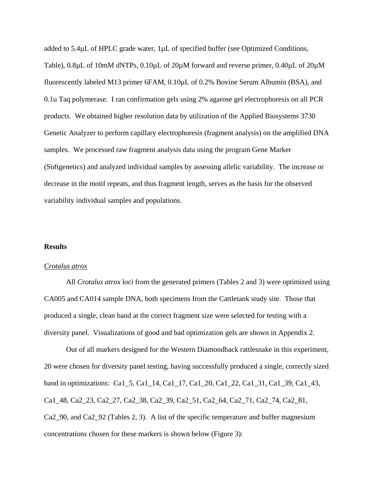added to 5.4µL of HPLC grade water, 1µL of specified buffer (see Optimized Conditions, Table), 0.8µL of 10mM dNTPs, 0.10µL of 20µM forward and reverse primer, 0.40µL of 20µM fluorescently labeled M13 primer 6FAM, 0.10µL of 0.2% Bovine Serum Albumin (BSA), and 0.1u Taq polymerase. I ran confirmation gels using 2% agarose gel electrophoresis on all PCR products. We obtained higher resolution data by utilization of the Applied Biosystems 3730 Genetic Analyzer to perform capillary electrophoresis (fragment analysis) on the amplified DNA samples. We processed raw fragment analysis data using the program Gene Marker (Softgenetics) and analyzed individual samples by assessing allelic variability. The increase or decrease in the motif repeats, and thus fragment length, serves as the basis for the observed variability individual samples and populations.

## **Results**

## *Crotalus atrox*

 All *Crotalus atrox* loci from the generated primers (Tables 2 and 3) were optimized using CA005 and CA014 sample DNA, both specimens from the Cattletank study site. Those that produced a single, clean band at the correct fragment size were selected for testing with a diversity panel. Visualizations of good and bad optimization gels are shown in Appendix 2.

Out of all markers designed for the Western Diamondback rattlesnake in this experiment, 20 were chosen for diversity panel testing, having successfully produced a single, correctly sized band in optimizations: Ca1\_5, Ca1\_14, Ca1\_17, Ca1\_20, Ca1\_22, Ca1\_31, Ca1\_39, Ca1\_43, Ca1\_48, Ca2\_23, Ca2\_27, Ca2\_38, Ca2\_39, Ca2\_51, Ca2\_64, Ca2\_71, Ca2\_74, Ca2\_81, Ca2\_90, and Ca2\_92 (Tables 2, 3). A list of the specific temperature and buffer magnesium concentrations chosen for these markers is shown below (Figure 3):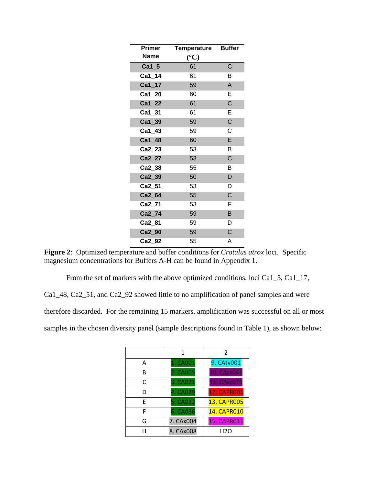| <b>Primer</b> | <b>Temperature Buffer</b> |             |
|---------------|---------------------------|-------------|
| <b>Name</b>   | $({}^{\circ}{\rm C})$     |             |
| $Ca1_5$       | 61                        | C           |
| Ca1_14        | 61                        | В           |
| Ca1_17        | 59                        | A           |
| $Ca1_20$      | 60                        | E           |
| $Ca1_22$      | 61                        | C           |
| Ca1_31        | 61                        | E           |
| $Ca1_39$      | 59                        | $\mathsf C$ |
| Ca1_43        | 59                        | С           |
| Ca1_48        | 60                        | E           |
| Ca2_23        | 53                        | В           |
| Ca2_27        | 53                        | C           |
| Ca2_38        | 55                        | в           |
| Ca2_39        | 50                        | D           |
| Ca2_51        | 53                        | D           |
| Ca2_64        | 55                        | $\mathsf C$ |
| Ca2_71        | 53                        | F           |
| Ca2_74        | 59                        | B           |
| Ca2_81        | 59                        | D           |
| Ca2_90        | 59                        | $\mathsf C$ |
| Ca2 92        | 55                        | A           |

**Figure 2**: Optimized temperature and buffer conditions for *Crotalus atrox* loci. Specific magnesium concentrations for Buffers A-H can be found in Appendix 1.

From the set of markers with the above optimized conditions, loci Ca1\_5, Ca1\_17,

Ca1\_48, Ca2\_51, and Ca2\_92 showed little to no amplification of panel samples and were

therefore discarded. For the remaining 15 markers, amplification was successful on all or most

samples in the chosen diversity panel (sample descriptions found in Table 1), as shown below:

|   | 1         | $\mathcal{P}$      |
|---|-----------|--------------------|
| A | 1. CA001  | 9. CAtv001         |
| R | 2. CA005  | 10. CAsz041        |
| C | 3. CA021  | 11. CAsz075        |
| D | 4. CA029  | <b>12. CAPRO01</b> |
| F | 5. CA032  | <b>13. CAPR005</b> |
| F | 6. CA036  | <b>14. CAPR010</b> |
| G | 7. CAx004 | <b>15. CAPR011</b> |
|   | 8. CAx008 | H <sub>2</sub> O   |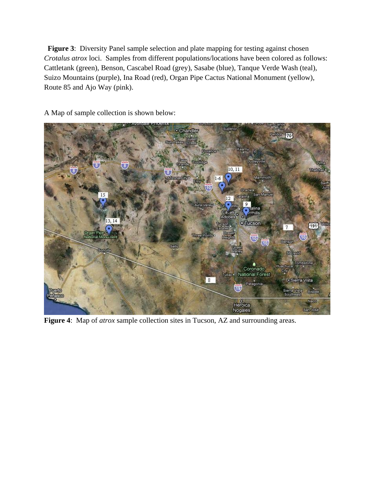**Figure 3:** Diversity Panel sample selection and plate mapping for testing against chosen *Crotalus atrox* loci. Samples from different populations/locations have been colored as follows: Cattletank (green), Benson, Cascabel Road (grey), Sasabe (blue), Tanque Verde Wash (teal), Suizo Mountains (purple), Ina Road (red), Organ Pipe Cactus National Monument (yellow), Route 85 and Ajo Way (pink).

· Chandler  $\overline{70}$ Sun Lakes **Elemente P** eyville  $10, 11$  $\odot$ Mammoth  $1-6$ ELTY  $\sqrt{10}$ San Manuel 15 Gatalina.  $12<sup>1</sup>$  $9$ ra Valley lina hills:  $\mathbf{o}$ Adobes 13, 14 o Tueson  $\sqrt{191}$ Willie  $\overline{\tau}$ **Three Point**  $(10)$ Benson  $\overline{10}$ Sells **Steavid** Tombstone Huachuca Coronado<br>National Forest Чy Tubeer  $8<sup>1</sup>$ · Sierra Vista Patagonia  $\overline{19}$ Sierra Vista<br>Southeast Bisbee uerto Naco Heroica San José Nogales

A Map of sample collection is shown below:

**Figure 4**: Map of *atrox* sample collection sites in Tucson, AZ and surrounding areas.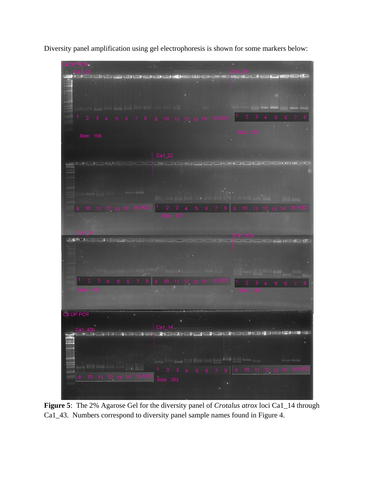Diversity panel amplification using gel electrophoresis is shown for some markers below:



**Figure 5**: The 2% Agarose Gel for the diversity panel of *Crotalus atrox* loci Ca1\_14 through Ca1\_43. Numbers correspond to diversity panel sample names found in Figure 4.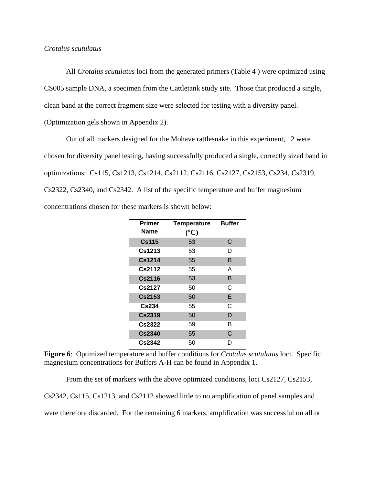## *Crotalus scutulatus*

All *Crotalus scutulatus* loci from the generated primers (Table 4 ) were optimized using CS005 sample DNA, a specimen from the Cattletank study site. Those that produced a single, clean band at the correct fragment size were selected for testing with a diversity panel. (Optimization gels shown in Appendix 2).

Out of all markers designed for the Mohave rattlesnake in this experiment, 12 were chosen for diversity panel testing, having successfully produced a single, correctly sized band in optimizations: Cs115, Cs1213, Cs1214, Cs2112, Cs2116, Cs2127, Cs2153, Cs234, Cs2319, Cs2322, Cs2340, and Cs2342. A list of the specific temperature and buffer magnesium concentrations chosen for these markers is shown below:

| <b>Primer</b><br><b>Name</b> | <b>Temperature</b> | <b>Buffer</b> |
|------------------------------|--------------------|---------------|
|                              | $(^{\circ}C)$      |               |
| <b>Cs115</b>                 | 53                 | C             |
| Cs1213                       | 53                 | D             |
| Cs1214                       | 55                 | B             |
| Cs2112                       | 55                 | Α             |
| Cs2116                       | 53                 | B             |
| Cs2127                       | 50                 | С             |
| <b>Cs2153</b>                | 50                 | E             |
| <b>Cs234</b>                 | 55                 | C             |
| <b>Cs2319</b>                | 50                 | D             |
| Cs2322                       | 59                 | В             |
| <b>Cs2340</b>                | 55                 | C             |
| Cs2342                       | 50                 | D             |

**Figure 6**: Optimized temperature and buffer conditions for *Crotalus scutulatus* loci. Specific magnesium concentrations for Buffers A-H can be found in Appendix 1.

From the set of markers with the above optimized conditions, loci Cs2127, Cs2153,

Cs2342, Cs115, Cs1213, and Cs2112 showed little to no amplification of panel samples and

were therefore discarded. For the remaining 6 markers, amplification was successful on all or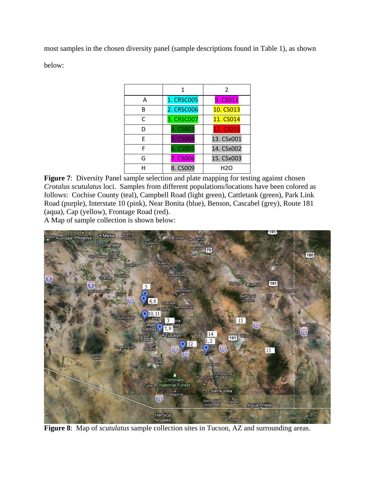most samples in the chosen diversity panel (sample descriptions found in Table 1), as shown below:

|   | 1                 | $\mathcal{P}$ |
|---|-------------------|---------------|
| A | <b>1. CRSC005</b> | 9. CS011      |
| B | 2. CRSC006        | 10. CS013     |
| C | 3. CRSC007        | 11. CS014     |
| D | 4. CS003          | 12. CS015     |
| F | 5. CS004          | 13. CSx001    |
| F | 6. CS005          | 14. CSx002    |
| G | 7. CS006          | 15. CSx003    |
|   | 8. CS009          | H2O           |

**Figure 7:** Diversity Panel sample selection and plate mapping for testing against chosen *Crotalus scutulatus* loci. Samples from different populations/locations have been colored as follows: Cochise County (teal), Campbell Road (light green), Cattletank (green), Park Link Road (purple), Interstate 10 (pink), Near Bonita (blue), Benson, Cascabel (grey), Route 181 (aqua), Cap (yellow), Frontage Road (red).

A Map of sample collection is shown below:



**Figure 8**: Map of *scutulatus* sample collection sites in Tucson, AZ and surrounding areas.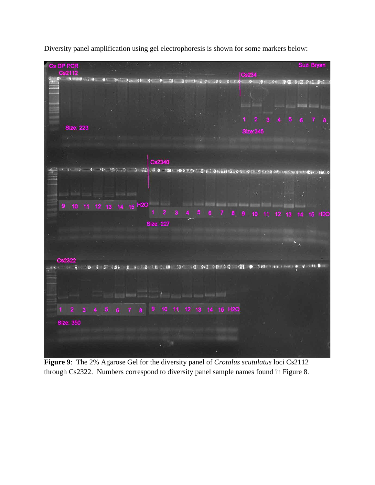

Diversity panel amplification using gel electrophoresis is shown for some markers below:

**Figure 9**: The 2% Agarose Gel for the diversity panel of *Crotalus scutulatus* loci Cs2112 through Cs2322. Numbers correspond to diversity panel sample names found in Figure 8.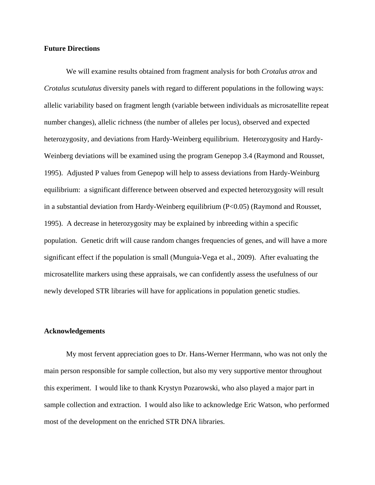#### **Future Directions**

We will examine results obtained from fragment analysis for both *Crotalus atrox* and *Crotalus scutulatus* diversity panels with regard to different populations in the following ways: allelic variability based on fragment length (variable between individuals as microsatellite repeat number changes), allelic richness (the number of alleles per locus), observed and expected heterozygosity, and deviations from Hardy-Weinberg equilibrium. Heterozygosity and Hardy-Weinberg deviations will be examined using the program Genepop 3.4 (Raymond and Rousset, 1995). Adjusted P values from Genepop will help to assess deviations from Hardy-Weinburg equilibrium: a significant difference between observed and expected heterozygosity will result in a substantial deviation from Hardy-Weinberg equilibrium (P<0.05) (Raymond and Rousset, 1995). A decrease in heterozygosity may be explained by inbreeding within a specific population. Genetic drift will cause random changes frequencies of genes, and will have a more significant effect if the population is small (Munguia-Vega et al., 2009). After evaluating the microsatellite markers using these appraisals, we can confidently assess the usefulness of our newly developed STR libraries will have for applications in population genetic studies.

#### **Acknowledgements**

 My most fervent appreciation goes to Dr. Hans-Werner Herrmann, who was not only the main person responsible for sample collection, but also my very supportive mentor throughout this experiment. I would like to thank Krystyn Pozarowski, who also played a major part in sample collection and extraction. I would also like to acknowledge Eric Watson, who performed most of the development on the enriched STR DNA libraries.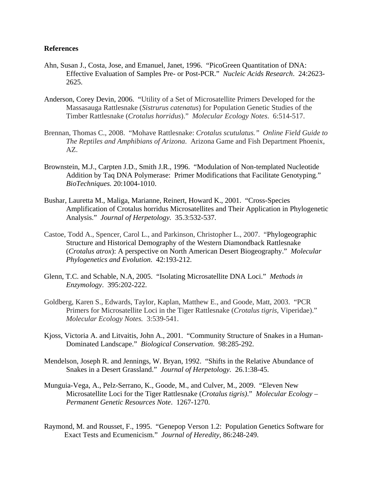## **References**

- Ahn, Susan J., Costa, Jose, and Emanuel, Janet, 1996. "PicoGreen Quantitation of DNA: Effective Evaluation of Samples Pre- or Post-PCR." *Nucleic Acids Research*. 24:2623- 2625.
- Anderson, Corey Devin, 2006. "Utility of a Set of Microsatellite Primers Developed for the Massasauga Rattlesnake (*Sistrurus catenatus*) for Population Genetic Studies of the Timber Rattlesnake (*Crotalus horridus*)." *Molecular Ecology Notes*. 6:514-517.
- Brennan, Thomas C., 2008. "Mohave Rattlesnake: *Crotalus scutulatus." Online Field Guide to The Reptiles and Amphibians of Arizona*. Arizona Game and Fish Department Phoenix, AZ.
- Brownstein, M.J., Carpten J.D., Smith J.R., 1996. "Modulation of Non-templated Nucleotide Addition by Taq DNA Polymerase: Primer Modifications that Facilitate Genotyping." *BioTechniques.* 20:1004-1010.
- Bushar, Lauretta M., Maliga, Marianne, Reinert, Howard K., 2001. "Cross-Species Amplification of Crotalus horridus Microsatellites and Their Application in Phylogenetic Analysis." *Journal of Herpetology.* 35.3:532-537.
- Castoe, Todd A., Spencer, Carol L., and Parkinson, Christopher L., 2007. "Phylogeographic Structure and Historical Demography of the Western Diamondback Rattlesnake (*Crotalus atrox*): A perspective on North American Desert Biogeography." *Molecular Phylogenetics and Evolution*. 42:193-212.
- Glenn, T.C. and Schable, N.A, 2005. "Isolating Microsatellite DNA Loci." *Methods in Enzymology*. 395:202-222.
- Goldberg, Karen S., Edwards, Taylor, Kaplan, Matthew E., and Goode, Matt, 2003. "PCR Primers for Microsatellite Loci in the Tiger Rattlesnake (*Crotalus tigris,* Viperidae)." *Molecular Ecology Notes.* 3:539-541.
- Kjoss, Victoria A. and Litvaitis, John A., 2001. "Community Structure of Snakes in a Human-Dominated Landscape." *Biological Conservation*. 98:285-292.
- Mendelson, Joseph R. and Jennings, W. Bryan, 1992. "Shifts in the Relative Abundance of Snakes in a Desert Grassland." *Journal of Herpetology.* 26.1:38-45.
- Munguia-Vega, A., Pelz-Serrano, K., Goode, M., and Culver, M., 2009. "Eleven New Microsatellite Loci for the Tiger Rattlesnake (*Crotalus tigris)*." *Molecular Ecology – Permanent Genetic Resources Note*. 1267-1270.
- Raymond, M. and Rousset, F., 1995. "Genepop Verson 1.2: Population Genetics Software for Exact Tests and Ecumenicism." *Journal of Heredity,* 86:248-249.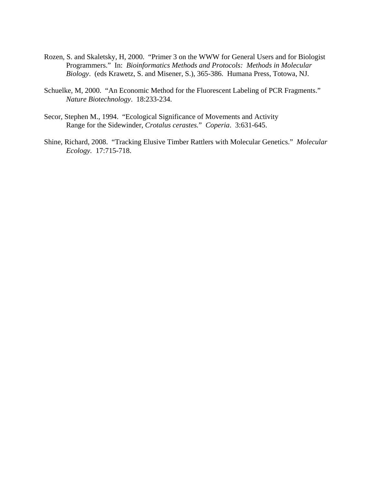- Rozen, S. and Skaletsky, H, 2000. "Primer 3 on the WWW for General Users and for Biologist Programmers." In: *Bioinformatics Methods and Protocols: Methods in Molecular Biology*. (eds Krawetz, S. and Misener, S.), 365-386. Humana Press, Totowa, NJ.
- Schuelke, M, 2000. "An Economic Method for the Fluorescent Labeling of PCR Fragments." *Nature Biotechnology*. 18:233-234.
- Secor, Stephen M., 1994. "Ecological Significance of Movements and Activity Range for the Sidewinder, *Crotalus cerastes.*" *Coperia*. 3:631-645.
- Shine, Richard, 2008. "Tracking Elusive Timber Rattlers with Molecular Genetics." *Molecular Ecology.* 17:715-718.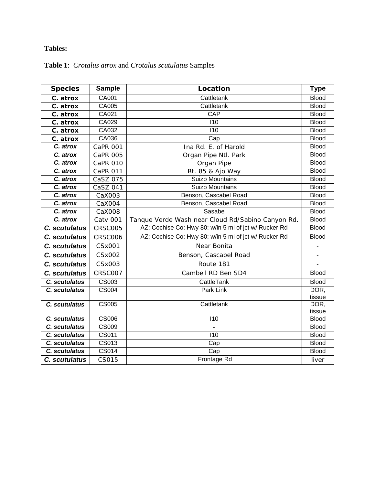# **Tables:**

| <b>Species</b> | <b>Sample</b>       | Location                                              | <b>Type</b>              |
|----------------|---------------------|-------------------------------------------------------|--------------------------|
| C. atrox       | CA001               | Cattletank                                            | <b>Blood</b>             |
| C. atrox       | CA005               | Cattletank                                            | <b>Blood</b>             |
| C. atrox       | CA021               | CAP                                                   | <b>Blood</b>             |
| C. atrox       | CA029               | 110                                                   | <b>Blood</b>             |
| C. atrox       | CA032               | $\overline{110}$                                      | <b>Blood</b>             |
| C. atrox       | CA036               | Cap                                                   | <b>Blood</b>             |
| C. atrox       | <b>CaPR 001</b>     | Ina Rd. E. of Harold                                  | <b>Blood</b>             |
| C. atrox       | CaPR 005            | Organ Pipe Ntl. Park                                  | <b>Blood</b>             |
| C. atrox       | <b>CaPR 010</b>     | Organ Pipe                                            | <b>Blood</b>             |
| C. atrox       | CaPR 011            | Rt. 85 & Ajo Way                                      | <b>Blood</b>             |
| C. atrox       | CaSZ 075            | <b>Suizo Mountains</b>                                | <b>Blood</b>             |
| C. atrox       | CaSZ 041            | <b>Suizo Mountains</b>                                | <b>Blood</b>             |
| C. atrox       | CaX003              | Benson, Cascabel Road                                 | <b>Blood</b>             |
| C. atrox       | CaX004              | Benson, Cascabel Road                                 | <b>Blood</b>             |
| C. atrox       | CaX008              | Sasabe                                                | <b>Blood</b>             |
| C. atrox       | <b>Catv 001</b>     | Tanque Verde Wash near Cloud Rd/Sabino Canyon Rd.     | <b>Blood</b>             |
| C. scutulatus  | <b>CRSC005</b>      | AZ: Cochise Co: Hwy 80: w/in 5 mi of jct w/ Rucker Rd | <b>Blood</b>             |
| C. scutulatus  | <b>CRSC006</b>      | AZ: Cochise Co: Hwy 80: w/in 5 mi of jct w/ Rucker Rd | <b>Blood</b>             |
| C. scutulatus  | CSx001              | Near Bonita                                           | $\overline{\phantom{0}}$ |
| C. scutulatus  | CSx002              | Benson, Cascabel Road                                 | $\overline{a}$           |
| C. scutulatus  | CSx003              | Route 181                                             | $\blacksquare$           |
| C. scutulatus  | CRSC007             | Cambell RD Ben SD4                                    | <b>Blood</b>             |
| C. scutulatus  | <b>CS003</b>        | CattleTank                                            | <b>Blood</b>             |
| C. scutulatus  | <b>CS004</b>        | Park Link                                             | DOR,                     |
|                |                     |                                                       | tissue                   |
| C. scutulatus  | <b>CS005</b>        | Cattletank                                            | DOR,                     |
| C. scutulatus  | <b>CS006</b>        | 110                                                   | tissue<br><b>Blood</b>   |
|                |                     |                                                       | <b>Blood</b>             |
| C. scutulatus  | <b>CS009</b>        |                                                       |                          |
| C. scutulatus  | $\overline{CS}$ 011 | 110                                                   | <b>Blood</b>             |

**C. scutulatus** CS013 Cap Cap Blood **C. scutulatus** CS014 Cap Cap Blood **C. scutulatus** CS015 **Frontage Rd C. scutulatus C. scutulatus C. Scutulatus C. Scutulatus C. Scutulatus C. Scutulatus C. Scutulatus C. Scutulatus C. Scutulatus C. Scutulatus C. Scutulatus C. Scutul** 

# **Table 1**: *Crotalus atrox* and *Crotalus scutulatus* Samples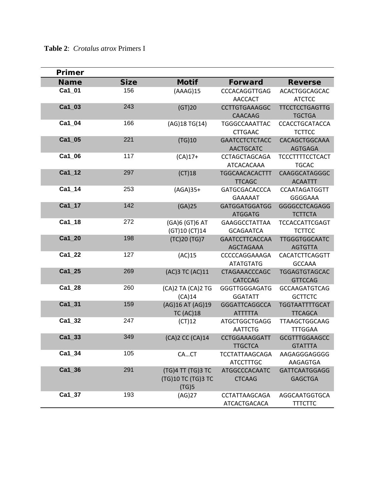| Primer      |             |                      |                                        |                                 |
|-------------|-------------|----------------------|----------------------------------------|---------------------------------|
| <b>Name</b> | <b>Size</b> | <b>Motif</b>         | <b>Forward</b>                         | <b>Reverse</b>                  |
| Ca1_01      | 156         | (AAAG)15             | <b>CCCACAGGTTGAG</b>                   | <b>ACACTGGCAGCAC</b>            |
|             |             |                      | <b>AACCACT</b>                         | <b>ATCTCC</b>                   |
| Ca1_03      | 243         | (GT)20               | <b>CCTTGTGAAAGGC</b>                   | <b>TTCCTCCTGAGTTG</b>           |
|             |             |                      | <b>CAACAAG</b>                         | <b>TGCTGA</b>                   |
| Ca1_04      | 166         | (AG) 18 TG(14)       | <b>TGGGCCAAATTAC</b>                   | <b>CCACCTGCATACCA</b>           |
|             |             |                      | <b>CTTGAAC</b>                         | <b>TCTTCC</b>                   |
| Ca1 05      | 221         | (TG)10               | <b>GAATCCTCTCTACC</b>                  | CACAGCTGGCAAA                   |
|             |             |                      | <b>AACTGCATC</b>                       | <b>AGTGAGA</b>                  |
| Ca1 06      | 117         | $(CA)17+$            | <b>CCTAGCTAGCAGA</b>                   | <b>TCCCTTTTCCTCACT</b>          |
|             |             |                      | ATCACACAAA                             | <b>TGCAC</b>                    |
| $Ca1_12$    | 297         | (CT)18               | <b>TGGCAACACACTTT</b>                  | CAAGGCATAGGGC                   |
|             |             |                      | <b>TTCAGC</b>                          | <b>ACAATTT</b>                  |
| $Ca1_14$    | 253         | $(AGA)35+$           | GATGCGACACCCA                          | <b>CCAATAGATGGTT</b>            |
| $Ca1_17$    | 142         |                      | <b>GAAAAAT</b><br><b>GATGGATGGATGG</b> | GGGGAAA                         |
|             |             | (GA)25               | <b>ATGGATG</b>                         | GGGGCCTCAGAGG<br><b>TCTTCTA</b> |
| Ca1_18      | 272         | (GA)6 (GT)6 AT       | <b>GAAGGCCTATTAA</b>                   | <b>TCCACCATTCGAGT</b>           |
|             |             | (GT)10 (CT)14        | <b>GCAGAATCA</b>                       | <b>TCTTCC</b>                   |
| Ca1_20      | 198         | (TC)20 (TG)7         | <b>GAATCCTTCACCAA</b>                  | <b>TTGGGTGGCAATC</b>            |
|             |             |                      | <b>AGCTAGAAA</b>                       | <b>AGTGTTA</b>                  |
| Ca1_22      | 127         | (AC)15               | CCCCCAGGAAAGA                          | CACATCTTCAGGTT                  |
|             |             |                      | <b>ATATGTATG</b>                       | <b>GCCAAA</b>                   |
| Ca1_25      | 269         | (AC)3 TC (AC)11      | <b>CTAGAAACCCAGC</b>                   | <b>TGGAGTGTAGCAC</b>            |
|             |             |                      | <b>CATCCAG</b>                         | <b>GTTCCAG</b>                  |
| Ca1_28      | 260         | (CA)2 TA (CA)2 TG    | <b>GGGTTGGGAGATG</b>                   | <b>GCCAAGATGTCAG</b>            |
|             |             | (CA)14               | <b>GGATATT</b>                         | <b>GCTTCTC</b>                  |
| Ca1_31      | 159         | (AG) 16 AT (AG) 19   | <b>GGGATTCAGGCCA</b>                   | <b>TGGTAATTTTGCAT</b>           |
|             |             | <b>TC (AC)18</b>     | <b>ATTTTTA</b>                         | <b>TTCAGCA</b>                  |
| $Ca1_32$    | 247         | (CT)12               | <b>ATGCTGGCTGAGG</b>                   | <b>TTAAGCTGGCAAG</b>            |
|             |             |                      | <b>AATTCTG</b>                         | <b>TTTGGAA</b>                  |
| Ca1_33      | 349         | (CA)2 CC (CA)14      | <b>CCTGGAAAGGATT</b>                   | <b>GCGTTTGGAAGCC</b>            |
|             |             |                      | TTGCTCA                                | <b>GTATTTA</b>                  |
| $Ca1_34$    | 105         | CACT                 | <b>TCCTATTAAGCAGA</b>                  | AAGAGGGAGGGG                    |
|             |             |                      | <b>ATCCTTTGC</b>                       | AAGAGTGA                        |
| $Ca1_36$    | 291         | (TG)4 TT (TG)3 TC    | <b>ATGGCCCACAATC</b>                   | <b>GATTCAATGGAGG</b>            |
|             |             | (TG) 10 TC (TG) 3 TC | <b>CTCAAG</b>                          | <b>GAGCTGA</b>                  |
| Ca1 37      |             | (TG)5                |                                        |                                 |
|             | 193         | (AG)27               | <b>CCTATTAAGCAGA</b>                   | AGGCAATGGTGCA                   |
|             |             |                      | ATCACTGACACA                           | <b>TTTCTTC</b>                  |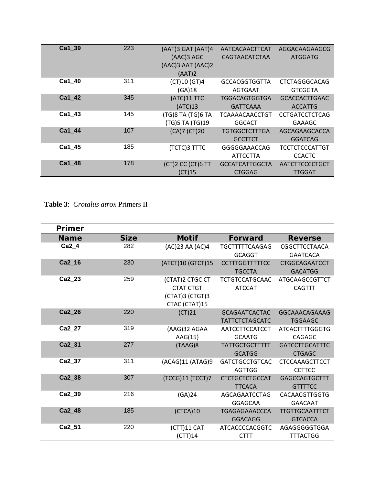| Ca1 39        | 223 |                         |                       |                       |
|---------------|-----|-------------------------|-----------------------|-----------------------|
|               |     | $(AAT)$ 3 GAT $(AAT)$ 4 | AATCACAACTTCAT        | AGGACAAGAAGCG         |
|               |     | (AAC)3 AGC              | CAGTAACATCTAA         | <b>ATGGATG</b>        |
|               |     | (AAC)3 AAT (AAC)2       |                       |                       |
|               |     | (AAT)2                  |                       |                       |
| Ca1 40        | 311 | (CT)10 (GT)4            | <b>GCCACGGTGGTTA</b>  | <b>CTCTAGGGCACAG</b>  |
|               |     | (GA)18                  | AGTGAAT               | <b>GTCGGTA</b>        |
| Ca1 42        | 345 | (ATC)11 TTC             | <b>TGGACAGTGGTGA</b>  | <b>GCACCACTTGAAC</b>  |
|               |     | (ATC)13                 | <b>GATTCAAA</b>       | <b>ACCATTG</b>        |
| Ca1 43        | 145 | (TG)8 TA (TG)6 TA       | TCAAAACAACCTGT        | <b>CCTGATCCTCTCAG</b> |
|               |     | (TG)5 TA (TG)19         | <b>GGCACT</b>         | <b>GAAAGC</b>         |
| <b>Ca1 44</b> | 107 | (CA)7 (CT)20            | TGTGGCTCTTTGA         | AGCAGAAGCACCA         |
|               |     |                         | <b>GCCTTCT</b>        | <b>GGATCAG</b>        |
| Ca1 45        | 185 | (TCTC)3 TTTC            | GGGGGAAACCAG          | <b>TCCTCTCCCATTGT</b> |
|               |     |                         | <b>ATTCCTTA</b>       | <b>CCACTC</b>         |
| Ca1 48        | 178 | (CT)2 CC (CT)6 TT       | <b>GCCATCATTGGCTA</b> | <b>AATCTTCCCCTGCT</b> |
|               |     | (CT)15                  | <b>CTGGAG</b>         | <b>TTGGAT</b>         |

**Table 3**: *Crotalus atrox* Primers II

| Primer        |             |                                                                         |                                               |                                         |
|---------------|-------------|-------------------------------------------------------------------------|-----------------------------------------------|-----------------------------------------|
| <b>Name</b>   | <b>Size</b> | <b>Motif</b>                                                            | <b>Forward</b>                                | <b>Reverse</b>                          |
| Ca2 4         | 282         | (AC)23 AA (AC)4                                                         | <b>TGCTTTTTCAAGAG</b><br><b>GCAGGT</b>        | CGGCTTCCTAACA<br><b>GAATCACA</b>        |
| Ca2_16        | 230         | (ATCT)10 (GTCT)15                                                       | <b>CCTTTGGTTTTTCC</b><br><b>TGCCTA</b>        | <b>CTGGCAGAATCCT</b><br><b>GACATGG</b>  |
| Ca2_23        | 259         | (CTAT)2 CTGC CT<br><b>CTAT CTGT</b><br>(CTAT)3 (CTGT)3<br>CTAC (CTAT)15 | <b>TCTGTCCATGCAAC</b><br><b>ATCCAT</b>        | ATGCAAGCCGTTCT<br><b>CAGTTT</b>         |
| <b>Ca2 26</b> | 220         | (CT)21                                                                  | <b>GCAGAATCACTAC</b><br><b>TATTCTCTAGCATC</b> | GGCAAACAGAAAG<br><b>TGGAAGC</b>         |
| Ca2 27        | 319         | (AAG)32 AGAA<br>AAG(15)                                                 | AATCCTTCCATCCT<br><b>GCAATG</b>               | <b>ATCACTTTTGGGTG</b><br><b>CAGAGC</b>  |
| Ca2_31        | 277         | (TAAG)8                                                                 | <b>TATTGCTGCTTTTT</b><br><b>GCATGG</b>        | <b>GATCCTTGCATTTC</b><br><b>CTGAGC</b>  |
| Ca2_37        | 311         | (ACAG)11 (ATAG)9                                                        | <b>GATCTGCCTGTCAC</b><br><b>AGTTGG</b>        | <b>CTCCAAAGCTTCCT</b><br><b>CCTTCC</b>  |
| Ca2 38        | 307         | (TCCG)11 (TCCT)7                                                        | <b>CTCTGCTCTGCCAT</b><br><b>TTCACA</b>        | <b>GAGCCAGTGCTTT</b><br><b>GTTTTCC</b>  |
| Ca2 39        | 216         | (GA)24                                                                  | AGCAGAATCCTAG<br><b>GGAGCAA</b>               | <b>CACAACGTTGGTG</b><br><b>GAACAAT</b>  |
| Ca2_48        | 185         | (CTCA)10                                                                | <b>TGAGAGAAACCCA</b><br><b>GGACAGG</b>        | <b>TTGTTGCAATTTCT</b><br><b>GTCACCA</b> |
| Ca2 51        | 220         | (CTT)11 CAT<br>(CTT)14                                                  | <b>ATCACCCCACGGTC</b><br><b>CTTT</b>          | AGAGGGGGTGGA<br><b>TTTACTGG</b>         |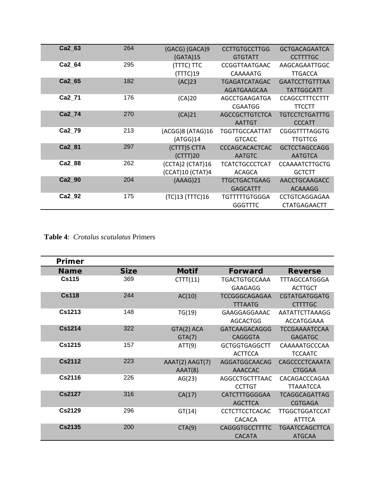| Ca2 63        | 264 | (GACG) (GACA)9<br>(GATA)15 | <b>CCTTGTGCCTTGG</b><br><b>GTGTATT</b> | <b>GCTGACAGAATCA</b><br><b>CCTTTTGC</b> |
|---------------|-----|----------------------------|----------------------------------------|-----------------------------------------|
| Ca2 64        | 295 | (TTTC) TTC                 | CCGGTTAATGAAC                          | AAGCAGAATTGGC                           |
|               |     | (TTTC)19                   | CAAAAATG                               | <b>TTGACCA</b>                          |
| Ca2 65        | 182 | (AC)23                     | <b>TGAGATCATAGAC</b>                   | <b>GAATCCTTGTTTAA</b>                   |
|               |     |                            | AGATGAAGCAA                            | <b>TATTGGCATT</b>                       |
| Ca2 71        | 176 | (CA)20                     | AGCCTGAAGATGA                          | <b>CCAGCCTTTCCTTT</b>                   |
|               |     |                            | <b>CGAATGG</b>                         | <b>TTCCTT</b>                           |
| <b>Ca2 74</b> | 270 | (CA)21                     | AGCCGCTTGTCTCA                         | <b>TGTCCTCTGATTTG</b>                   |
|               |     |                            | <b>AATTGT</b>                          | <b>CCCATT</b>                           |
| Ca2 79        | 213 | (ACGG)8 (ATAG)16           | <b>TGGTTGCCAATTAT</b>                  | <b>CGGGTTTTAGGTG</b>                    |
|               |     | (ATGG)14                   | <b>GTCACC</b>                          | <b>TTGTTCG</b>                          |
| <b>Ca2 81</b> | 297 | (CTTT)5 CTTA               | <b>CCCAGCACACTCAC</b>                  | <b>GCTCCTAGCCAGG</b>                    |
|               |     | (CTTT)20                   | <b>AATGTC</b>                          | <b>AATGTCA</b>                          |
| Ca2 88        | 262 | (CCTA)2 (CTAT)16           | <b>TCATCTGCCCTCAT</b>                  | <b>CCAAAATCTTGCTG</b>                   |
|               |     | (CCAT)10 (CTAT)4           | ACAGCA                                 | <b>GCTCTT</b>                           |
| <b>Ca2 90</b> | 204 | (AAAG)21                   | <b>TTGCTGACTGAAG</b>                   | AACCTGCAAGACC                           |
|               |     |                            | <b>GAGCATTT</b>                        | ACAAAGG                                 |
| Ca2 92        | 175 | (TC)13 (TTTC)16            | TGTTTTTGTGGGA                          | <b>CCTGTCAGGAGAA</b>                    |
|               |     |                            | <b>GGGTTTC</b>                         | <b>CTATGAGAACTT</b>                     |

**Table 4**: *Crotalus scutulatus* Primers

| Primer        |             |                 |                       |                       |
|---------------|-------------|-----------------|-----------------------|-----------------------|
| <b>Name</b>   | <b>Size</b> | <b>Motif</b>    | <b>Forward</b>        | <b>Reverse</b>        |
| <b>Cs115</b>  | 369         | CTTT(11)        | TGACTGTGCCAAA         | <b>TTTAGCCATGGGA</b>  |
|               |             |                 | <b>GAAGAGG</b>        | <b>ACTTGCT</b>        |
| <b>Cs118</b>  | 244         | AC(10)          | <b>TCCGGGCAGAGAA</b>  | <b>CGTATGATGGATG</b>  |
|               |             |                 | <b>TTTAATG</b>        | <b>CTTTTGC</b>        |
| Cs1213        | 148         | TG(19)          | GAAGGAGGAAAC          | AATATTCTTAAAGG        |
|               |             |                 | AGCACTGG              | ACCATGGAAA            |
| <b>Cs1214</b> | 322         | GTA(2) ACA      | <b>GATCAAGACAGGG</b>  | <b>TCCGAAAATCCAA</b>  |
|               |             | GTA(7)          | <b>CAGGGTA</b>        | <b>GAGATGC</b>        |
| Cs1215        | 157         | ATT(9)          | <b>GCTGGTGAGGCTT</b>  | CAAAAATGCCCAA         |
|               |             |                 | <b>ACTTCCA</b>        | <b>TCCAATC</b>        |
| <b>Cs2112</b> | 223         | AAAT(2) AAGT(7) | AGGATGGCAACAG         | CAGCCCCTCAAATA        |
|               |             | AAAT(8)         | <b>AAACCAC</b>        | <b>CTGGAA</b>         |
| <b>Cs2116</b> | 226         | AG(23)          | AGGCCTGCTTTAAC        | CACAGACCCAGAA         |
|               |             |                 | <b>CCTTGT</b>         | <b>TTAAATCCA</b>      |
| <b>Cs2127</b> | 316         | CA(17)          | <b>CATCTTTGGGGAA</b>  | <b>TCAGGCAGATTAG</b>  |
|               |             |                 | <b>AGCTTCA</b>        | <b>CGTGAGA</b>        |
| <b>Cs2129</b> | 296         | GT(14)          | <b>CCTCTTCCTCACAC</b> | <b>TTGGCTGGATCCAT</b> |
|               |             |                 | <b>CACACA</b>         | <b>ATTTCA</b>         |
| <b>Cs2135</b> | 200         | CTA(9)          | <b>CAGGGTGCCTTTTC</b> | <b>TGAATCCAGCTTCA</b> |
|               |             |                 | <b>CACATA</b>         | <b>ATGCAA</b>         |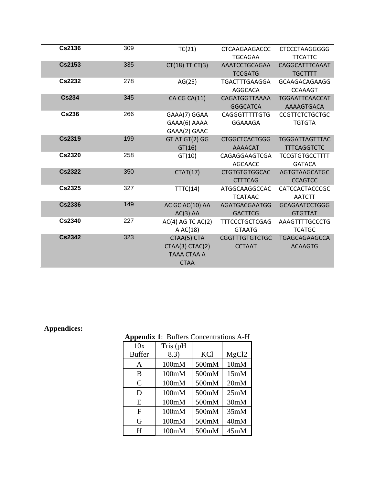| <b>Cs2136</b> | 309 | TC(21)                | <b>CTCAAGAAGACCC</b>  | <b>CTCCCTAAGGGGG</b>  |
|---------------|-----|-----------------------|-----------------------|-----------------------|
|               |     |                       | <b>TGCAGAA</b>        | <b>TTCATTC</b>        |
| <b>Cs2153</b> | 335 | CT(18)TTCT(3)         | AAATCCTGCAGAA         | CAGGCATTTCAAAT        |
|               |     |                       | <b>TCCGATG</b>        | <b>TGCTTTT</b>        |
| Cs2232        | 278 | AG(25)                | <b>TGACTTTGAAGGA</b>  | <b>GCAAGACAGAAGG</b>  |
|               |     |                       | <b>AGGCACA</b>        | <b>CCAAAGT</b>        |
| <b>Cs234</b>  | 345 | CA CG CA(11)          | CAGATGGTTAAAA         | <b>TGGAATTCAACCAT</b> |
|               |     |                       | <b>GGGCATCA</b>       | AAAAGTGACA            |
| <b>Cs236</b>  | 266 | GAAA(7) GGAA          | <b>CAGGGTTTTTGTG</b>  | <b>CCGTTCTCTGCTGC</b> |
|               |     | GAAA(6) AAAA          | GGAAAGA               | <b>TGTGTA</b>         |
|               |     | GAAA(2) GAAC          |                       |                       |
| <b>Cs2319</b> | 199 | GT AT GT(2) GG        | <b>CTGGCTCACTGGG</b>  | <b>TGGGATTAGTTTAC</b> |
|               |     | GT(16)                | AAAACAT               | <b>TTTCAGGTCTC</b>    |
| <b>Cs2320</b> | 258 | GT(10)                | CAGAGGAAGTCGA         | <b>TCCGTGTGCCTTTT</b> |
|               |     |                       | <b>AGCAACC</b>        | <b>GATACA</b>         |
| <b>Cs2322</b> | 350 | CTAT(17)              | <b>CTGTGTGTGGCAC</b>  | AGTGTAAGCATGC         |
|               |     |                       | <b>CTTTCAG</b>        | <b>CCAGTCC</b>        |
| <b>Cs2325</b> | 327 | TTTC(14)              | ATGGCAAGGCCAC         | <b>CATCCACTACCCGC</b> |
|               |     |                       | <b>TCATAAC</b>        | <b>AATCTT</b>         |
| <b>Cs2336</b> | 149 | AC GC AC(10) AA       | AGATGACGAATGG         | <b>GCAGAATCCTGGG</b>  |
|               |     | $AC(3)$ AA            | <b>GACTTCG</b>        | <b>GTGTTAT</b>        |
| <b>Cs2340</b> | 227 | $AC(4)$ AG TC $AC(2)$ | <b>TTTCCCTGCTCGAG</b> | AAAGTTTTGCCCTG        |
|               |     | A $AC(18)$            | <b>GTAATG</b>         | <b>TCATGC</b>         |
| <b>Cs2342</b> | 323 | CTAA(5) CTA           | <b>CGGTTTGTGTCTGC</b> | <b>TGAGCAGAAGCCA</b>  |
|               |     | CTAA(3) CTAC(2)       | <b>CCTAAT</b>         | <b>ACAAGTG</b>        |
|               |     | TAAA CTAA A           |                       |                       |
|               |     | <b>CTAA</b>           |                       |                       |

# **Appendices:**

| <b>Appendix 1: Butters Concentrations A-H</b> |          |       |                   |
|-----------------------------------------------|----------|-------|-------------------|
| 10x                                           | Tris (pH |       |                   |
| <b>Buffer</b>                                 | 8.3)     | KCl   | MgCl <sub>2</sub> |
| A                                             | 100mM    | 500mM | 10mM              |
| В                                             | 100mM    | 500mM | 15mM              |
| $\mathsf{C}$                                  | 100mM    | 500mM | 20 <sub>m</sub> M |
| D                                             | 100mM    | 500mM | 25mM              |
| E                                             | 100mM    | 500mM | 30mM              |
| F                                             | 100mM    | 500mM | 35mM              |
| G                                             | 100mM    | 500mM | 40mM              |
| н                                             | 100mM    | 500mM | 45mM              |

# **Appendix 1**: Buffers Concentrations A-H